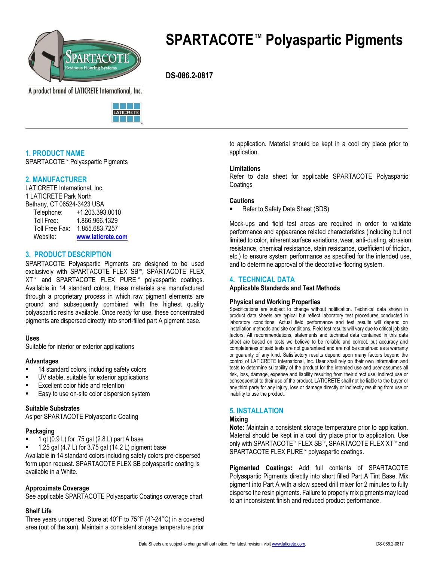

**SPARTACOTE™ Polyaspartic Pigments**

 **DS-086.2-0817**

A product brand of LATICRETE International, Inc.



# **1. PRODUCT NAME**

SPARTACOTE™ Polyaspartic Pigments

# **2. MANUFACTURER**

LATICRETE International, Inc. 1 LATICRETE Park North Bethany, CT 06524-3423 USA

| Telephone:     | +1.203.393.0010   |  |  |  |
|----------------|-------------------|--|--|--|
| Toll Free:     | 1.866.966.1329    |  |  |  |
| Toll Free Fax: | 1.855.683.7257    |  |  |  |
| Website:       | www.laticrete.com |  |  |  |

# **3. PRODUCT DESCRIPTION**

SPARTACOTE Polyaspartic Pigments are designed to be used exclusively with SPARTACOTE FLEX SB™, SPARTACOTE FLEX XT™ and SPARTACOTE FLEX PURE™ polyaspartic coatings. Available in 14 standard colors, these materials are manufactured through a proprietary process in which raw pigment elements are ground and subsequently combined with the highest quality polyaspartic resins available. Once ready for use, these concentrated pigments are dispersed directly into short-filled part A pigment base.

### **Uses**

Suitable for interior or exterior applications

### **Advantages**

- 14 standard colors, including safety colors
- UV stable, suitable for exterior applications
- Excellent color hide and retention
- Easy to use on-site color dispersion system

### **Suitable Substrates**

As per SPARTACOTE Polyaspartic Coating

### **Packaging**

- 1 qt (0.9 L) for .75 gal (2.8 L) part A base
- 1.25 gal (4.7 L) for 3.75 gal (14.2 L) pigment base

Available in 14 standard colors including safety colors pre-dispersed form upon request. SPARTACOTE FLEX SB polyaspartic coating is available in a White.

### **Approximate Coverage**

See applicable SPARTACOTE Polyaspartic Coatings coverage chart

### **Shelf Life**

Three years unopened. Store at 40°F to 75°F (4°-24°C) in a covered area (out of the sun). Maintain a consistent storage temperature prior to application. Material should be kept in a cool dry place prior to application.

### **Limitations**

Refer to data sheet for applicable SPARTACOTE Polyaspartic Coatings

### **Cautions**

Refer to Safety Data Sheet (SDS)

Mock-ups and field test areas are required in order to validate performance and appearance related characteristics (including but not limited to color, inherent surface variations, wear, anti-dusting, abrasion resistance, chemical resistance, stain resistance, coefficient of friction, etc.) to ensure system performance as specified for the intended use, and to determine approval of the decorative flooring system.

# **4. TECHNICAL DATA**

**Applicable Standards and Test Methods** 

### **Physical and Working Properties**

Specifications are subject to change without notification. Technical data shown in product data sheets are typical but reflect laboratory test procedures conducted in laboratory conditions. Actual field performance and test results will depend on installation methods and site conditions. Field test results will vary due to critical job site factors. All recommendations, statements and technical data contained in this data sheet are based on tests we believe to be reliable and correct, but accuracy and completeness of said tests are not guaranteed and are not be construed as a warranty or guaranty of any kind. Satisfactory results depend upon many factors beyond the control of LATICRETE International, Inc. User shall rely on their own information and tests to determine suitability of the product for the intended use and user assumes all risk, loss, damage, expense and liability resulting from their direct use, indirect use or consequential to their use of the product. LATICRETE shall not be liable to the buyer or any third party for any injury, loss or damage directly or indirectly resulting from use or inability to use the product.

# **5. INSTALLATION**

## **Mixing**

**Note:** Maintain a consistent storage temperature prior to application. Material should be kept in a cool dry place prior to application. Use only with SPARTACOTE™ FLEX SB™, SPARTACOTE FLEX XT™ and SPARTACOTE FLEX PURE™ polyaspartic coatings.

**Pigmented Coatings:** Add full contents of SPARTACOTE Polyaspartic Pigments directly into short filled Part A Tint Base. Mix pigment into Part A with a slow speed drill mixer for 2 minutes to fully disperse the resin pigments. Failure to properly mix pigments may lead to an inconsistent finish and reduced product performance.